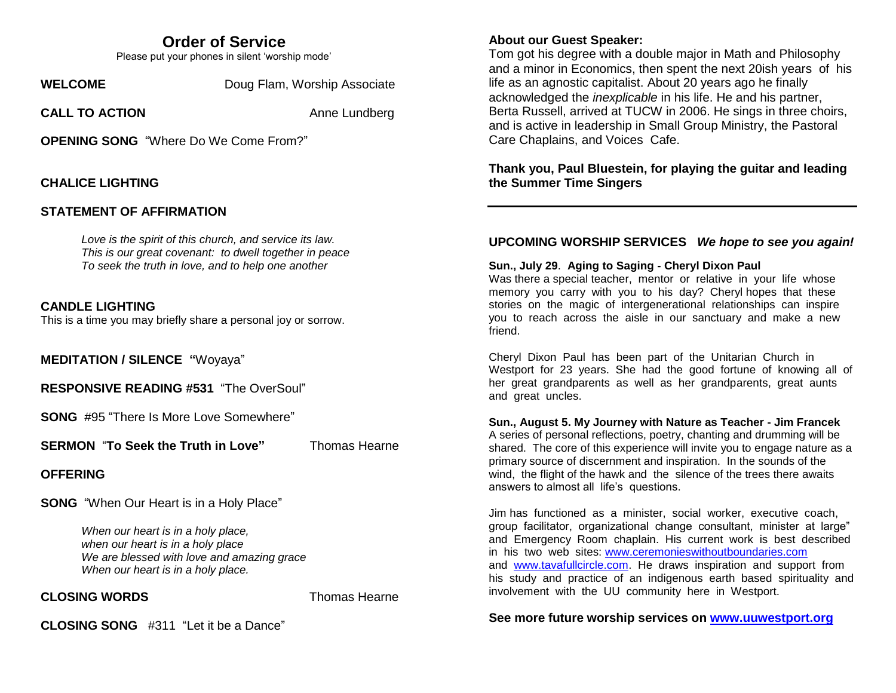## **Order of Service**

Please put your phones in silent 'worship mode'

**WELCOME** Doug Flam, Worship Associate

**CALL TO ACTION Anne Lundberg** 

**OPENING SONG** "Where Do We Come From?"

#### **CHALICE LIGHTING**

## **STATEMENT OF AFFIRMATION**

*Love is the spirit of this church, and service its law. This is our great covenant: to dwell together in peace To seek the truth in love, and to help one another* 

#### **CANDLE LIGHTING**

This is a time you may briefly share a personal joy or sorrow.

**MEDITATION / SILENCE "**Woyaya"

**RESPONSIVE READING #531** "The OverSoul"

**SONG** #95 "There Is More Love Somewhere"

**SERMON** "To Seek the Truth in Love" Thomas Hearne

**OFFERING**

**SONG** "When Our Heart is in a Holy Place"

*When our heart is in a holy place, when our heart is in a holy place We are blessed with love and amazing grace When our heart is in a holy place.*

#### **CLOSING WORDS** Thomas Hearne

**CLOSING SONG** #311 "Let it be a Dance"

### **About our Guest Speaker:**

Tom got his degree with a double major in Math and Philosophy and a minor in Economics, then spent the next 20ish years of his life as an agnostic capitalist. About 20 years ago he finally acknowledged the *inexplicable* in his life. He and his partner, Berta Russell, arrived at TUCW in 2006. He sings in three choirs, and is active in leadership in Small Group Ministry, the Pastoral Care Chaplains, and Voices Cafe.

#### **Thank you, Paul Bluestein, for playing the guitar and leading the Summer Time Singers**

#### **UPCOMING WORSHIP SERVICES** *We hope to see you again!*

#### **Sun., July 29**. **Aging to Saging - Cheryl Dixon Paul**

Was there a special teacher, mentor or relative in your life whose memory you carry with you to his day? Cheryl hopes that these stories on the magic of intergenerational relationships can inspire you to reach across the aisle in our sanctuary and make a new friend.

Cheryl Dixon Paul has been part of the Unitarian Church in Westport for 23 years. She had the good fortune of knowing all of her great grandparents as well as her grandparents, great aunts and great uncles.

#### **Sun., August 5. My Journey with Nature as Teacher - Jim Francek**

A series of personal reflections, poetry, chanting and drumming will be shared. The core of this experience will invite you to engage nature as a primary source of discernment and inspiration. In the sounds of the wind, the flight of the hawk and the silence of the trees there awaits answers to almost all life's questions.

Jim has functioned as a minister, social worker, executive coach, group facilitator, organizational change consultant, minister at large" and Emergency Room chaplain. His current work is best described in his two web sites: [www.ceremonieswithoutboundaries.com](https://www.dropbox.com/referrer_cleansing_redirect?hmac=6USyAi0ETWbFW%2Fh9rfRyI9EB5W%2FFnMG15bBvHtfzdeg%3D&url=http%3A%2F%2Fwww.ceremonieswithoutboundaries.com) and [www.tavafullcircle.com.](https://www.dropbox.com/referrer_cleansing_redirect?hmac=xSBxWliJOwh9h9pPik24iaozEEtDJGkTFsb4ZLPmo48%3D&url=http%3A%2F%2Fwww.tavafullcircle.com) He draws inspiration and support from his study and practice of an indigenous earth based spirituality and involvement with the UU community here in Westport.

**See more future worship services on [www.uuwestport.org](http://www.uuwestport.org/)**